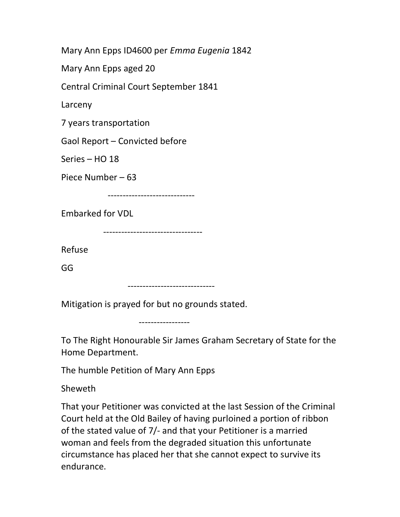Mary Ann Epps ID4600 per Emma Eugenia 1842

Mary Ann Epps aged 20

Central Criminal Court September 1841

Larceny

7 years transportation

Gaol Report – Convicted before

Series – HO 18

Piece Number – 63

-----------------------------

Embarked for VDL

---------------------------------

Refuse

GG

-----------------------------

Mitigation is prayed for but no grounds stated.

-----------------

To The Right Honourable Sir James Graham Secretary of State for the Home Department.

The humble Petition of Mary Ann Epps

Sheweth

That your Petitioner was convicted at the last Session of the Criminal Court held at the Old Bailey of having purloined a portion of ribbon of the stated value of 7/- and that your Petitioner is a married woman and feels from the degraded situation this unfortunate circumstance has placed her that she cannot expect to survive its endurance.